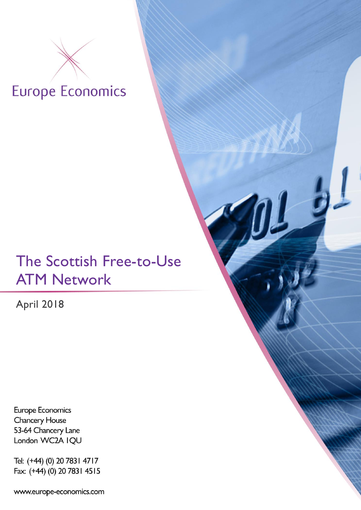# **Europe Economics**

## The Scottish Free-to-Use ATM Network

 $\frac{1}{2}$ 

April 2018

Europe Economics **Chancery House** 53-64 Chancery Lane London WC2A IQU

Tel: (+44) (0) 20 783 | 47 | 7 Fax: (+44) (0) 20 7831 4515

www.europe-economics.com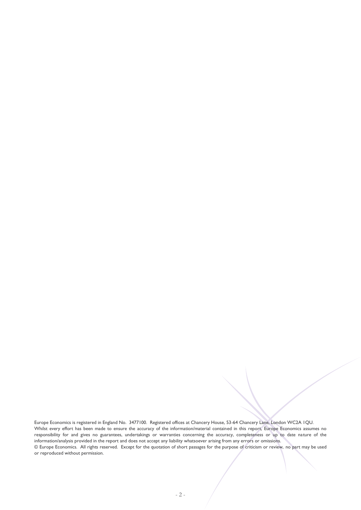Europe Economics is registered in England No. 3477100. Registered offices at Chancery House, 53-64 Chancery Lane, London WC2A 1QU. Whilst every effort has been made to ensure the accuracy of the information/material contained in this report, Europe Economics assumes no responsibility for and gives no guarantees, undertakings or warranties concerning the accuracy, completeness or up to date nature of the information/analysis provided in the report and does not accept any liability whatsoever arising from any errors or omissions. © Europe Economics. All rights reserved. Except for the quotation of short passages for the purpose of criticism or review, no part may be used or reproduced without permission.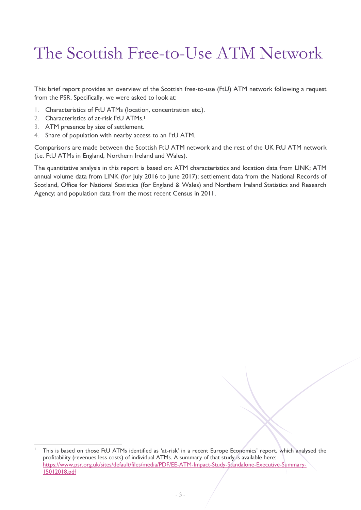## The Scottish Free-to-Use ATM Network

This brief report provides an overview of the Scottish free-to-use (FtU) ATM network following a request from the PSR. Specifically, we were asked to look at:

- 1. Characteristics of FtU ATMs (location, concentration etc.).
- 2. Characteristics of at-risk FtU ATMs.<sup>1</sup>
- 3. ATM presence by size of settlement.

-

4. Share of population with nearby access to an FtU ATM.

Comparisons are made between the Scottish FtU ATM network and the rest of the UK FtU ATM network (i.e. FtU ATMs in England, Northern Ireland and Wales).

The quantitative analysis in this report is based on: ATM characteristics and location data from LINK; ATM annual volume data from LINK (for July 2016 to June 2017); settlement data from the National Records of Scotland, Office for National Statistics (for England & Wales) and Northern Ireland Statistics and Research Agency; and population data from the most recent Census in 2011.

<sup>1</sup> This is based on those FtU ATMs identified as 'at-risk' in a recent Europe Economics' report, which analysed the profitability (revenues less costs) of individual ATMs. A summary of that study is available here: https://www.psr.org.uk/sites/default/files/media/PDF/EE-ATM-Impact-Study-Standalone-Executive-Summary-15012018.pdf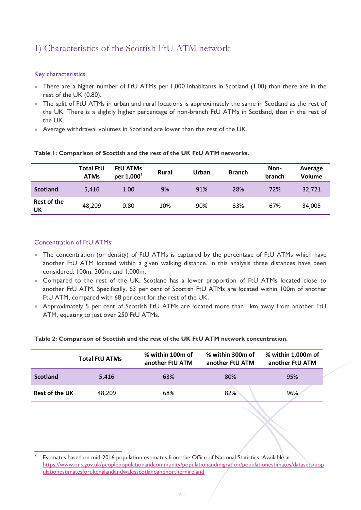## 1) Characteristics of the Scottish FtU ATM network

#### Key characteristics:

- There are a higher number of FtU ATMs per 1,000 inhabitants in Scotland (1.00) than there are in the rest of the UK (0.80).
- The split of FtU ATMs in urban and rural locations is approximately the same in Scotland as the rest of the UK. There is a slightly higher percentage of non-branch FtU ATMs in Scotland, than in the rest of the UK.
- Average withdrawal volumes in Scotland are lower than the rest of the UK.

|                          | <b>Total FtU</b><br><b>ATMs</b> | <b>FtU ATMs</b><br>per 1,000 <sup>2</sup> | <b>Rural</b> | Urban | <b>Branch</b> | Non-<br>branch | Average<br>Volume |
|--------------------------|---------------------------------|-------------------------------------------|--------------|-------|---------------|----------------|-------------------|
| <b>Scotland</b>          | 5.416                           | 1.00                                      | 9%           | 91%   | 28%           | 72%            | 32,721            |
| <b>Rest of the</b><br>UK | 48.209                          | 0.80                                      | 10%          | 90%   | 33%           | 67%            | 34,005            |

#### **Table 1: Comparison of Scottish and the rest of the UK FtU ATM networks.**

#### Concentration of FtU ATMs:

- The concentration (or density) of FtU ATMs is captured by the percentage of FtU ATMs which have another FtU ATM located within a given walking distance. In this analysis three distances have been considered: 100m; 300m; and 1,000m.
- Compared to the rest of the UK, Scotland has a lower proportion of FtU ATMs located close to another FtU ATM. Specifically, 63 per cent of Scottish FtU ATMs are located within 100m of another FtU ATM, compared with 68 per cent for the rest of the UK.
- Approximately 5 per cent of Scottish FtU ATMs are located more than 1km away from another FtU ATM, equating to just over 250 FtU ATMs.

|                       | <b>Total FtU ATMs</b> | % within 100m of<br>another FtU ATM | % within 300m of<br>another FtU ATM | % within 1,000m of<br>another FtU ATM |
|-----------------------|-----------------------|-------------------------------------|-------------------------------------|---------------------------------------|
| <b>Scotland</b>       | 5.416                 | 63%                                 | 80%                                 | 95%                                   |
| <b>Rest of the UK</b> | 48.209                | 68%                                 | 82%                                 | 96%                                   |

#### **Table 2: Comparison of Scottish and the rest of the UK FtU ATM network concentration.**

 $\frac{1}{2}$ Estimates based on mid-2016 population estimates from the Office of National Statistics. Available at: https://www.ons.gov.uk/peoplepopulationandcommunity/populationandmigration/populationestimates/datasets/pop ulationestimatesforukenglandandwalesscotlandandnorthernireland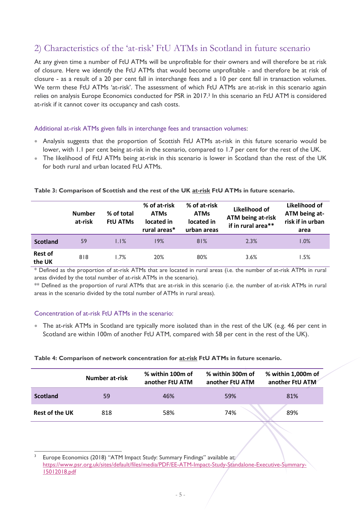### 2) Characteristics of the 'at-risk' FtU ATMs in Scotland in future scenario

At any given time a number of FtU ATMs will be unprofitable for their owners and will therefore be at risk of closure. Here we identify the FtU ATMs that would become unprofitable - and therefore be at risk of closure - as a result of a 20 per cent fall in interchange fees and a 10 per cent fall in transaction volumes. We term these FtU ATMs 'at-risk'. The assessment of which FtU ATMs are at-risk in this scenario again relies on analysis Europe Economics conducted for PSR in 2017.<sup>3</sup> In this scenario an FtU ATM is considered at-risk if it cannot cover its occupancy and cash costs.

#### Additional at-risk ATMs given falls in interchange fees and transaction volumes:

- Analysis suggests that the proportion of Scottish FtU ATMs at-risk in this future scenario would be lower, with 1.1 per cent being at-risk in the scenario, compared to 1.7 per cent for the rest of the UK.
- The likelihood of FtU ATMs being at-risk in this scenario is lower in Scotland than the rest of the UK for both rural and urban located FtU ATMs.

|                          | <b>Number</b><br>at-risk | % of total<br><b>FtU ATMs</b> | % of at-risk<br><b>ATMs</b><br>located in<br>rural areas* | % of at-risk<br><b>ATMs</b><br>located in<br>urban areas | Likelihood of<br><b>ATM being at-risk</b><br>if in rural area** | Likelihood of<br>ATM being at-<br>risk if in urban<br>area |
|--------------------------|--------------------------|-------------------------------|-----------------------------------------------------------|----------------------------------------------------------|-----------------------------------------------------------------|------------------------------------------------------------|
| <b>Scotland</b>          | 59                       | 1.1%                          | 19%                                                       | 81%                                                      | 2.3%                                                            | 1.0%                                                       |
| <b>Rest of</b><br>the UK | 818                      | 1.7%                          | 20%                                                       | 80%                                                      | 3.6%                                                            | 1.5%                                                       |

#### **Table 3: Comparison of Scottish and the rest of the UK at-risk FtU ATMs in future scenario.**

\* Defined as the proportion of at-risk ATMs that are located in rural areas (i.e. the number of at-risk ATMs in rural areas divided by the total number of at-risk ATMs in the scenario).

\*\* Defined as the proportion of rural ATMs that are at-risk in this scenario (i.e. the number of at-risk ATMs in rural areas in the scenario divided by the total number of ATMs in rural areas).

#### Concentration of at-risk FtU ATMs in the scenario:

-

 The at-risk ATMs in Scotland are typically more isolated than in the rest of the UK (e.g. 46 per cent in Scotland are within 100m of another FtU ATM, compared with 58 per cent in the rest of the UK).

|  |  | Table 4: Comparison of network concentration for at-risk FtU ATMs in future scenario. |  |  |
|--|--|---------------------------------------------------------------------------------------|--|--|
|--|--|---------------------------------------------------------------------------------------|--|--|

|                       | <b>Number at-risk</b> | % within 100m of<br>another FtU ATM | % within 300m of<br>another FtU ATM | % within 1,000m of<br>another FtU ATM |
|-----------------------|-----------------------|-------------------------------------|-------------------------------------|---------------------------------------|
| <b>Scotland</b>       | 59                    | 46%                                 | 59%                                 | 81%                                   |
| <b>Rest of the UK</b> | 818                   | 58%                                 | 74%                                 | 89%                                   |

<sup>3</sup> Europe Economics (2018) "ATM Impact Study: Summary Findings" available at: https://www.psr.org.uk/sites/default/files/media/PDF/EE-ATM-Impact-Study-Standalone-Executive-Summary-15012018.pdf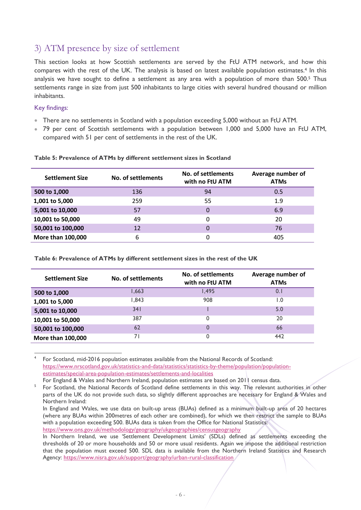### 3) ATM presence by size of settlement

This section looks at how Scottish settlements are served by the FtU ATM network, and how this compares with the rest of the UK. The analysis is based on latest available population estimates.<sup>4</sup> In this analysis we have sought to define a settlement as any area with a population of more than 500.<sup>5</sup> Thus settlements range in size from just 500 inhabitants to large cities with several hundred thousand or million inhabitants.

#### Key findings:

-

- There are no settlements in Scotland with a population exceeding 5,000 without an FtU ATM.
- 79 per cent of Scottish settlements with a population between 1,000 and 5,000 have an FtU ATM, compared with 51 per cent of settlements in the rest of the UK.

| <b>Settlement Size</b> | No. of settlements | No. of settlements<br>with no FtU ATM | Average number of<br><b>ATMs</b> |
|------------------------|--------------------|---------------------------------------|----------------------------------|
| 500 to 1,000           | 136                | 94                                    | 0.5                              |
| 1,001 to 5,000         | 259                | 55                                    | 1.9                              |
| 5,001 to 10,000        | 57                 | 0                                     | 6.9                              |
| 10,001 to 50,000       | 49                 | 0                                     | 20                               |
| 50,001 to 100,000      | 12                 | 0                                     | 76                               |
| More than 100,000      | 6                  | 0                                     | 405                              |

#### **Table 5: Prevalence of ATMs by different settlement sizes in Scotland**

**Table 6: Prevalence of ATMs by different settlement sizes in the rest of the UK**

| <b>Settlement Size</b>   | No. of settlements | No. of settlements<br>with no FtU ATM | Average number of<br><b>ATMs</b> |
|--------------------------|--------------------|---------------------------------------|----------------------------------|
| 500 to 1,000             | .663               | <b>1.495</b>                          |                                  |
| 1,001 to 5,000           | .843               | 908                                   | 0. ا                             |
| 5,001 to 10,000          | 341                |                                       | 5.0                              |
| 10,001 to 50,000         | 387                | 0                                     | 20                               |
| 50,001 to 100,000        | 62                 | 0                                     | 66                               |
| <b>More than 100,000</b> |                    | 0                                     | 442                              |

4 For Scotland, mid-2016 population estimates available from the National Records of Scotland: https://www.nrscotland.gov.uk/statistics-and-data/statistics/statistics-by-theme/population/populationestimates/special-area-population-estimates/settlements-and-localities

For England & Wales and Northern Ireland, population estimates are based on 2011 census data.

<sup>5</sup> For Scotland, the National Records of Scotland define settlements in this way. The relevant authorities in other parts of the UK do not provide such data, so slightly different approaches are necessary for England & Wales and Northern Ireland:

In England and Wales, we use data on built-up areas (BUAs) defined as a minimum built-up area of 20 hectares (where any BUAs within 200metres of each other are combined), for which we then restrict the sample to BUAs with a population exceeding 500. BUAs data is taken from the Office for National Statistics: https://www.ons.gov.uk/methodology/geography/ukgeographies/censusgeography

In Northern Ireland, we use 'Settlement Development Limits' (SDLs) defined as settlements exceeding the thresholds of 20 or more households and 50 or more usual residents. Again we impose the additional restriction that the population must exceed 500. SDL data is available from the Northern Ireland Statistics and Research Agency: https://www.nisra.gov.uk/support/geography/urban-rural-classification